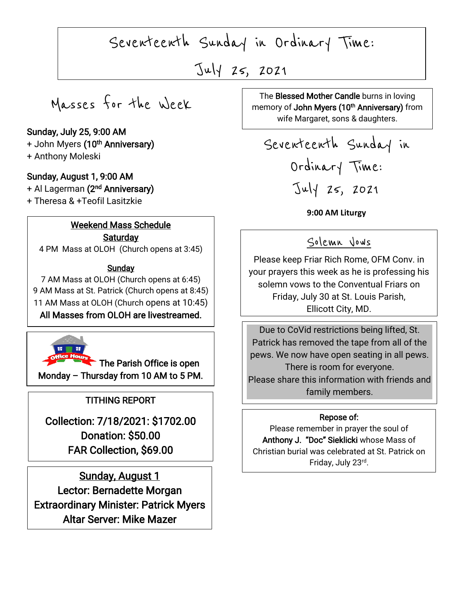Seventeenth Sunday in Ordinary Time:

July 25, 2021

 $\overline{\phantom{a}}$ 

Masses for the Week

#### Sunday, July 25, 9:00 AM

+ John Myers **(10<sup>th</sup> Anniversary)** 

+ Anthony Moleski

### Sunday, August 1, 9:00 AM

+ Al Lagerman **(2<sup>nd</sup> Anniversary)** + Theresa & +Teofil Lasitzkie

### Weekend Mass Schedule **Saturday**

4 PM Mass at OLOH (Church opens at 3:45)

## Sunday

7 AM Mass at OLOH (Church opens at 6:45) 9 AM Mass at St. Patrick (Church opens at 8:45) 11 AM Mass at OLOH (Church opens at 10:45) All Masses from OLOH are livestreamed.



The Parish Office is open Monday – Thursday from 10 AM to 5 PM.

## TITHING REPORT

Collection: 7/18/2021: \$1702.00 Donation: \$50.00 FAR Collection, \$69.00

 Lector: Bernadette Morgan Extraordinary Minister: Patrick Myers Sunday, August 1 Altar Server: Mike Mazer

The Biessed Mother Candie burns in loving<br>memory of **John Myers (10<sup>th</sup> Anniversary)** from The Blessed Mother Candle burns in loving wife Margaret, sons & daughters.

Seventeenth Sunday in Ordinary Time: July 25, 2021

**9:00 AM Liturgy**

## Solemn Vows

Please keep Friar Rich Rome, OFM Conv. in your prayers this week as he is professing his solemn vows to the Conventual Friars on Friday, July 30 at St. Louis Parish, Ellicott City, MD.

Due to CoVid restrictions being lifted, St. Patrick has removed the tape from all of the pews. We now have open seating in all pews. There is room for everyone. Please share this information with friends and family members.

### Repose of:

Please remember in prayer the soul of Anthony J. "Doc" Sieklicki whose Mass of Christian burial was celebrated at St. Patrick on Friday, July 23rd .